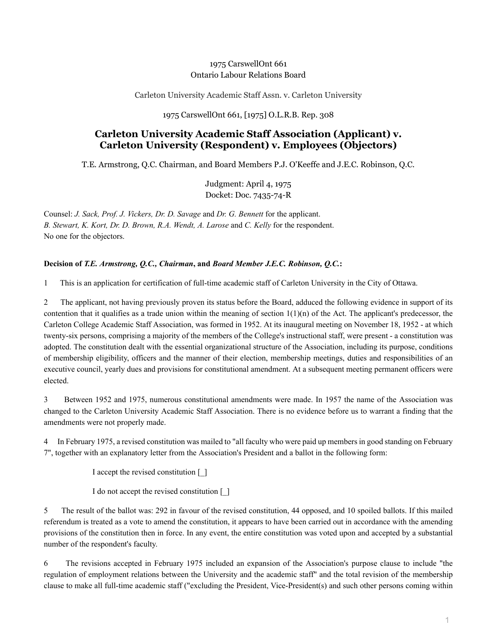## 1975 CarswellOnt 661 Ontario Labour Relations Board

Carleton University Academic Staff Assn. v. Carleton University

1975 CarswellOnt 661, [1975] O.L.R.B. Rep. 308

# **Carleton University Academic Staff Association (Applicant) v. Carleton University (Respondent) v. Employees (Objectors)**

T.E. Armstrong, Q.C. Chairman, and Board Members P.J. O'Keeffe and J.E.C. Robinson, Q.C.

Judgment: April 4, 1975 Docket: Doc. 7435-74-R

Counsel: *J. Sack, Prof. J. Vickers, Dr. D. Savage* and *Dr. G. Bennett* for the applicant. *B. Stewart, K. Kort, Dr. D. Brown, R.A. Wendt, A. Larose* and *C. Kelly* for the respondent. No one for the objectors.

## **Decision of** *T.E. Armstrong, Q.C., Chairman***, and** *Board Member J.E.C. Robinson, Q.C.***:**

1 This is an application for certification of full-time academic staff of Carleton University in the City of Ottawa.

2 The applicant, not having previously proven its status before the Board, adduced the following evidence in support of its contention that it qualifies as a trade union within the meaning of section  $1(1)(n)$  of the Act. The applicant's predecessor, the Carleton College Academic Staff Association, was formed in 1952. At its inaugural meeting on November 18, 1952 - at which twenty-six persons, comprising a majority of the members of the College's instructional staff, were present - a constitution was adopted. The constitution dealt with the essential organizational structure of the Association, including its purpose, conditions of membership eligibility, officers and the manner of their election, membership meetings, duties and responsibilities of an executive council, yearly dues and provisions for constitutional amendment. At a subsequent meeting permanent officers were elected.

3 Between 1952 and 1975, numerous constitutional amendments were made. In 1957 the name of the Association was changed to the Carleton University Academic Staff Association. There is no evidence before us to warrant a finding that the amendments were not properly made.

4 In February 1975, a revised constitution was mailed to "all faculty who were paid up members in good standing on February 7", together with an explanatory letter from the Association's President and a ballot in the following form:

I accept the revised constitution [\_]

I do not accept the revised constitution [\_]

5 The result of the ballot was: 292 in favour of the revised constitution, 44 opposed, and 10 spoiled ballots. If this mailed referendum is treated as a vote to amend the constitution, it appears to have been carried out in accordance with the amending provisions of the constitution then in force. In any event, the entire constitution was voted upon and accepted by a substantial number of the respondent's faculty.

6 The revisions accepted in February 1975 included an expansion of the Association's purpose clause to include "the regulation of employment relations between the University and the academic staff" and the total revision of the membership clause to make all full-time academic staff ("excluding the President, Vice-President(s) and such other persons coming within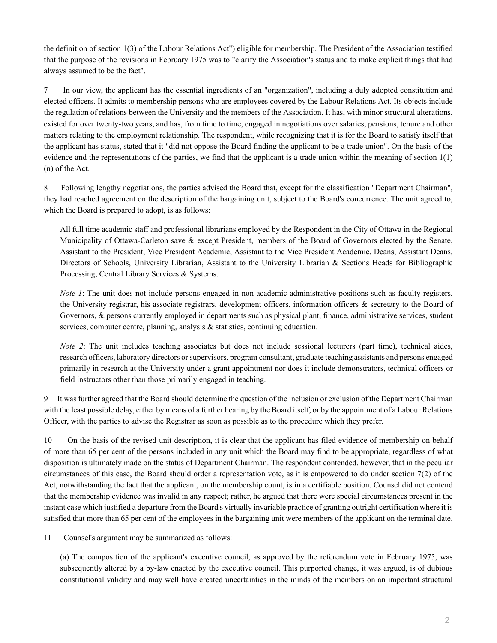the definition of section 1(3) of the Labour Relations Act") eligible for membership. The President of the Association testified that the purpose of the revisions in February 1975 was to "clarify the Association's status and to make explicit things that had always assumed to be the fact".

7 In our view, the applicant has the essential ingredients of an "organization", including a duly adopted constitution and elected officers. It admits to membership persons who are employees covered by the Labour Relations Act. Its objects include the regulation of relations between the University and the members of the Association. It has, with minor structural alterations, existed for over twenty-two years, and has, from time to time, engaged in negotiations over salaries, pensions, tenure and other matters relating to the employment relationship. The respondent, while recognizing that it is for the Board to satisfy itself that the applicant has status, stated that it "did not oppose the Board finding the applicant to be a trade union". On the basis of the evidence and the representations of the parties, we find that the applicant is a trade union within the meaning of section 1(1) (n) of the Act.

8 Following lengthy negotiations, the parties advised the Board that, except for the classification "Department Chairman", they had reached agreement on the description of the bargaining unit, subject to the Board's concurrence. The unit agreed to, which the Board is prepared to adopt, is as follows:

All full time academic staff and professional librarians employed by the Respondent in the City of Ottawa in the Regional Municipality of Ottawa-Carleton save & except President, members of the Board of Governors elected by the Senate, Assistant to the President, Vice President Academic, Assistant to the Vice President Academic, Deans, Assistant Deans, Directors of Schools, University Librarian, Assistant to the University Librarian & Sections Heads for Bibliographic Processing, Central Library Services & Systems.

*Note 1*: The unit does not include persons engaged in non-academic administrative positions such as faculty registers, the University registrar, his associate registrars, development officers, information officers  $\&$  secretary to the Board of Governors, & persons currently employed in departments such as physical plant, finance, administrative services, student services, computer centre, planning, analysis & statistics, continuing education.

*Note 2*: The unit includes teaching associates but does not include sessional lecturers (part time), technical aides, research officers, laboratory directors or supervisors, program consultant, graduate teaching assistants and persons engaged primarily in research at the University under a grant appointment nor does it include demonstrators, technical officers or field instructors other than those primarily engaged in teaching.

It was further agreed that the Board should determine the question of the inclusion or exclusion of the Department Chairman with the least possible delay, either by means of a further hearing by the Board itself, or by the appointment of a Labour Relations Officer, with the parties to advise the Registrar as soon as possible as to the procedure which they prefer.

10 On the basis of the revised unit description, it is clear that the applicant has filed evidence of membership on behalf of more than 65 per cent of the persons included in any unit which the Board may find to be appropriate, regardless of what disposition is ultimately made on the status of Department Chairman. The respondent contended, however, that in the peculiar circumstances of this case, the Board should order a representation vote, as it is empowered to do under section  $7(2)$  of the Act, notwithstanding the fact that the applicant, on the membership count, is in a certifiable position. Counsel did not contend that the membership evidence was invalid in any respect; rather, he argued that there were special circumstances present in the instant case which justified a departure from the Board's virtually invariable practice of granting outright certification where it is satisfied that more than 65 per cent of the employees in the bargaining unit were members of the applicant on the terminal date.

11 Counsel's argument may be summarized as follows:

(a) The composition of the applicant's executive council, as approved by the referendum vote in February 1975, was subsequently altered by a by-law enacted by the executive council. This purported change, it was argued, is of dubious constitutional validity and may well have created uncertainties in the minds of the members on an important structural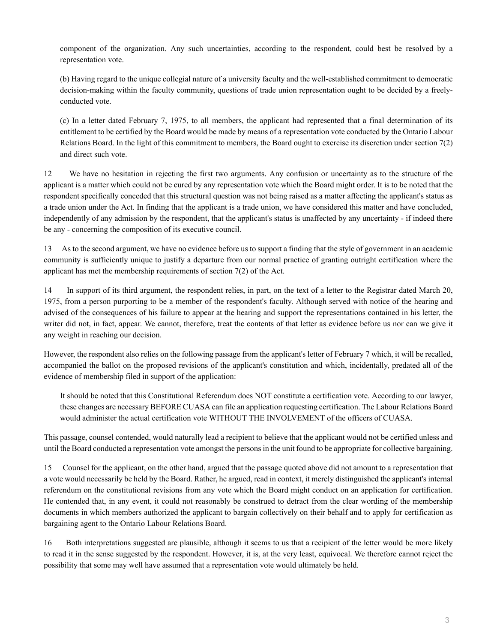component of the organization. Any such uncertainties, according to the respondent, could best be resolved by a representation vote.

(b) Having regard to the unique collegial nature of a university faculty and the well-established commitment to democratic decision-making within the faculty community, questions of trade union representation ought to be decided by a freelyconducted vote.

(c) In a letter dated February 7, 1975, to all members, the applicant had represented that a final determination of its entitlement to be certified by the Board would be made by means of a representation vote conducted by the Ontario Labour Relations Board. In the light of this commitment to members, the Board ought to exercise its discretion under section 7(2) and direct such vote.

12 We have no hesitation in rejecting the first two arguments. Any confusion or uncertainty as to the structure of the applicant is a matter which could not be cured by any representation vote which the Board might order. It is to be noted that the respondent specifically conceded that this structural question was not being raised as a matter affecting the applicant's status as a trade union under the Act. In finding that the applicant is a trade union, we have considered this matter and have concluded, independently of any admission by the respondent, that the applicant's status is unaffected by any uncertainty - if indeed there be any - concerning the composition of its executive council.

13 As to the second argument, we have no evidence before us to support a finding that the style of government in an academic community is sufficiently unique to justify a departure from our normal practice of granting outright certification where the applicant has met the membership requirements of section 7(2) of the Act.

14 In support of its third argument, the respondent relies, in part, on the text of a letter to the Registrar dated March 20, 1975, from a person purporting to be a member of the respondent's faculty. Although served with notice of the hearing and advised of the consequences of his failure to appear at the hearing and support the representations contained in his letter, the writer did not, in fact, appear. We cannot, therefore, treat the contents of that letter as evidence before us nor can we give it any weight in reaching our decision.

However, the respondent also relies on the following passage from the applicant's letter of February 7 which, it will be recalled, accompanied the ballot on the proposed revisions of the applicant's constitution and which, incidentally, predated all of the evidence of membership filed in support of the application:

It should be noted that this Constitutional Referendum does NOT constitute a certification vote. According to our lawyer, these changes are necessary BEFORE CUASA can file an application requesting certification. The Labour Relations Board would administer the actual certification vote WITHOUT THE INVOLVEMENT of the officers of CUASA.

This passage, counsel contended, would naturally lead a recipient to believe that the applicant would not be certified unless and until the Board conducted a representation vote amongst the persons in the unit found to be appropriate for collective bargaining.

15 Counsel for the applicant, on the other hand, argued that the passage quoted above did not amount to a representation that a vote would necessarily be held by the Board. Rather, he argued, read in context, it merely distinguished the applicant's internal referendum on the constitutional revisions from any vote which the Board might conduct on an application for certification. He contended that, in any event, it could not reasonably be construed to detract from the clear wording of the membership documents in which members authorized the applicant to bargain collectively on their behalf and to apply for certification as bargaining agent to the Ontario Labour Relations Board.

16 Both interpretations suggested are plausible, although it seems to us that a recipient of the letter would be more likely to read it in the sense suggested by the respondent. However, it is, at the very least, equivocal. We therefore cannot reject the possibility that some may well have assumed that a representation vote would ultimately be held.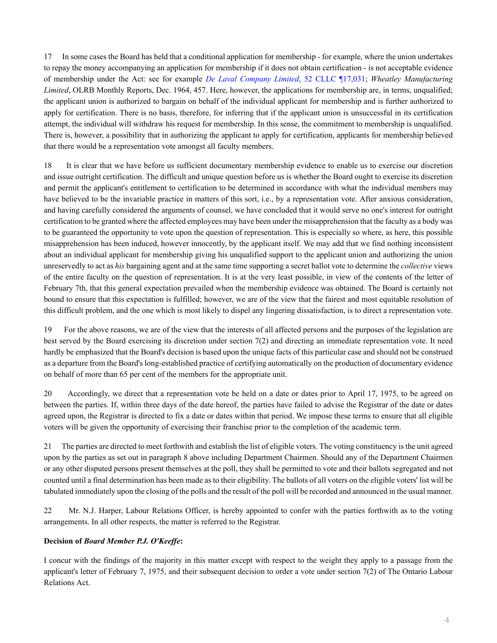17 In some cases the Board has held that a conditional application for membership - for example, where the union undertakes to repay the money accompanying an application for membership if it does not obtain certification - is not acceptable evidence of membership under the Act: see for example *[De Laval Company Limited](http://nextcanada.westlaw.com/Link/Document/FullText?findType=Y&serNum=1952042571&pubNum=0005628&originatingDoc=I10b717d1c68263f0e0440003ba0d6c6d&refType=IC&originationContext=document&vr=3.0&rs=cblt1.0&transitionType=DocumentItem&contextData=(sc.Search))*, 52 CLLC ¶17,031; *Wheatley Manufacturing Limited*, OLRB Monthly Reports, Dec. 1964, 457. Here, however, the applications for membership are, in terms, unqualified; the applicant union is authorized to bargain on behalf of the individual applicant for membership and is further authorized to apply for certification. There is no basis, therefore, for inferring that if the applicant union is unsuccessful in its certification attempt, the individual will withdraw his request for membership. In this sense, the commitment to membership is unqualified. There is, however, a possibility that in authorizing the applicant to apply for certification, applicants for membership believed that there would be a representation vote amongst all faculty members.

18 It is clear that we have before us sufficient documentary membership evidence to enable us to exercise our discretion and issue outright certification. The difficult and unique question before us is whether the Board ought to exercise its discretion and permit the applicant's entitlement to certification to be determined in accordance with what the individual members may have believed to be the invariable practice in matters of this sort, i.e., by a representation vote. After anxious consideration, and having carefully considered the arguments of counsel, we have concluded that it would serve no one's interest for outright certification to be granted where the affected employees may have been under the misapprehension that the faculty as a body was to be guaranteed the opportunity to vote upon the question of representation. This is especially so where, as here, this possible misapprehension has been induced, however innocently, by the applicant itself. We may add that we find nothing inconsistent about an individual applicant for membership giving his unqualified support to the applicant union and authorizing the union unreservedly to act as *his* bargaining agent and at the same time supporting a secret ballot vote to determine the *collective* views of the entire faculty on the question of representation. It is at the very least possible, in view of the contents of the letter of February 7th, that this general expectation prevailed when the membership evidence was obtained. The Board is certainly not bound to ensure that this expectation is fulfilled; however, we are of the view that the fairest and most equitable resolution of this difficult problem, and the one which is most likely to dispel any lingering dissatisfaction, is to direct a representation vote.

19 For the above reasons, we are of the view that the interests of all affected persons and the purposes of the legislation are best served by the Board exercising its discretion under section 7(2) and directing an immediate representation vote. It need hardly be emphasized that the Board's decision is based upon the unique facts of this particular case and should not be construed as a departure from the Board's long-established practice of certifying automatically on the production of documentary evidence on behalf of more than 65 per cent of the members for the appropriate unit.

20 Accordingly, we direct that a representation vote be held on a date or dates prior to April 17, 1975, to be agreed on between the parties. If, within three days of the date hereof, the parties have failed to advise the Registrar of the date or dates agreed upon, the Registrar is directed to fix a date or dates within that period. We impose these terms to ensure that all eligible voters will be given the opportunity of exercising their franchise prior to the completion of the academic term.

21 The parties are directed to meet forthwith and establish the list of eligible voters. The voting constituency is the unit agreed upon by the parties as set out in paragraph 8 above including Department Chairmen. Should any of the Department Chairmen or any other disputed persons present themselves at the poll, they shall be permitted to vote and their ballots segregated and not counted until a final determination has been made as to their eligibility. The ballots of all voters on the eligible voters' list will be tabulated immediately upon the closing of the polls and the result of the poll will be recorded and announced in the usual manner.

22 Mr. N.J. Harper, Labour Relations Officer, is hereby appointed to confer with the parties forthwith as to the voting arrangements. In all other respects, the matter is referred to the Registrar.

### **Decision of** *Board Member P.J. O'Keeffe***:**

I concur with the findings of the majority in this matter except with respect to the weight they apply to a passage from the applicant's letter of February 7, 1975, and their subsequent decision to order a vote under section 7(2) of The Ontario Labour Relations Act.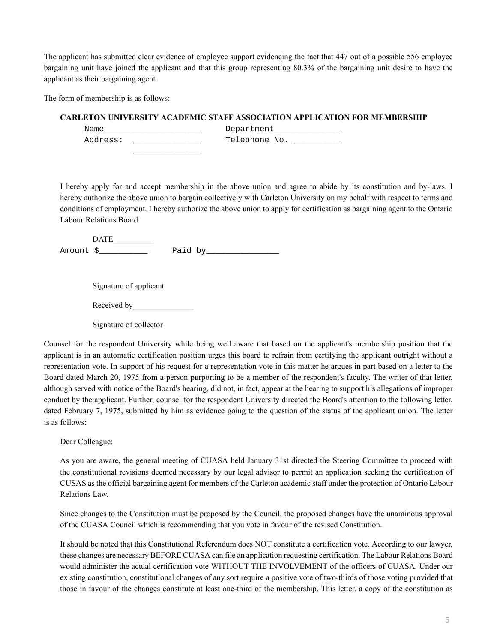The applicant has submitted clear evidence of employee support evidencing the fact that 447 out of a possible 556 employee bargaining unit have joined the applicant and that this group representing 80.3% of the bargaining unit desire to have the applicant as their bargaining agent.

The form of membership is as follows:

### **CARLETON UNIVERSITY ACADEMIC STAFF ASSOCIATION APPLICATION FOR MEMBERSHIP**

| Name     | Department    |
|----------|---------------|
| Address: | Telephone No. |
|          |               |

I hereby apply for and accept membership in the above union and agree to abide by its constitution and by-laws. I hereby authorize the above union to bargain collectively with Carleton University on my behalf with respect to terms and conditions of employment. I hereby authorize the above union to apply for certification as bargaining agent to the Ontario Labour Relations Board.

| Amount \$ | Paid by |
|-----------|---------|

Signature of applicant

Received by

Signature of collector

Counsel for the respondent University while being well aware that based on the applicant's membership position that the applicant is in an automatic certification position urges this board to refrain from certifying the applicant outright without a representation vote. In support of his request for a representation vote in this matter he argues in part based on a letter to the Board dated March 20, 1975 from a person purporting to be a member of the respondent's faculty. The writer of that letter, although served with notice of the Board's hearing, did not, in fact, appear at the hearing to support his allegations of improper conduct by the applicant. Further, counsel for the respondent University directed the Board's attention to the following letter, dated February 7, 1975, submitted by him as evidence going to the question of the status of the applicant union. The letter is as follows:

Dear Colleague:

As you are aware, the general meeting of CUASA held January 31st directed the Steering Committee to proceed with the constitutional revisions deemed necessary by our legal advisor to permit an application seeking the certification of CUSAS as the official bargaining agent for members of the Carleton academic staff under the protection of Ontario Labour Relations Law.

Since changes to the Constitution must be proposed by the Council, the proposed changes have the unaminous approval of the CUASA Council which is recommending that you vote in favour of the revised Constitution.

It should be noted that this Constitutional Referendum does NOT constitute a certification vote. According to our lawyer, these changes are necessary BEFORE CUASA can file an application requesting certification. The Labour Relations Board would administer the actual certification vote WITHOUT THE INVOLVEMENT of the officers of CUASA. Under our existing constitution, constitutional changes of any sort require a positive vote of two-thirds of those voting provided that those in favour of the changes constitute at least one-third of the membership. This letter, a copy of the constitution as